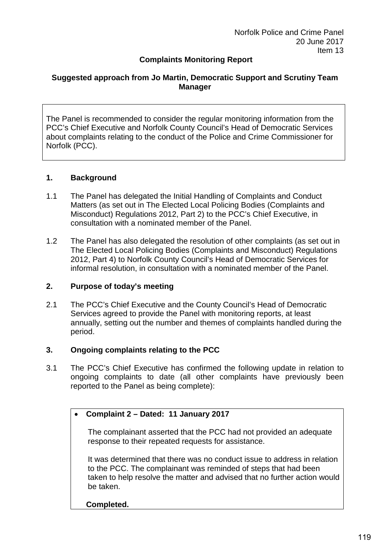## **Complaints Monitoring Report**

### **Suggested approach from Jo Martin, Democratic Support and Scrutiny Team Manager**

The Panel is recommended to consider the regular monitoring information from the PCC's Chief Executive and Norfolk County Council's Head of Democratic Services about complaints relating to the conduct of the Police and Crime Commissioner for Norfolk (PCC).

#### **1. Background**

- 1.1 The Panel has delegated the Initial Handling of Complaints and Conduct Matters (as set out in The Elected Local Policing Bodies (Complaints and Misconduct) Regulations 2012, Part 2) to the PCC's Chief Executive, in consultation with a nominated member of the Panel.
- 1.2 The Panel has also delegated the resolution of other complaints (as set out in The Elected Local Policing Bodies (Complaints and Misconduct) Regulations 2012, Part 4) to Norfolk County Council's Head of Democratic Services for informal resolution, in consultation with a nominated member of the Panel.

#### **2. Purpose of today's meeting**

2.1 The PCC's Chief Executive and the County Council's Head of Democratic Services agreed to provide the Panel with monitoring reports, at least annually, setting out the number and themes of complaints handled during the period.

#### **3. Ongoing complaints relating to the PCC**

3.1 The PCC's Chief Executive has confirmed the following update in relation to ongoing complaints to date (all other complaints have previously been reported to the Panel as being complete):

#### • **Complaint 2 – Dated: 11 January 2017**

The complainant asserted that the PCC had not provided an adequate response to their repeated requests for assistance.

It was determined that there was no conduct issue to address in relation to the PCC. The complainant was reminded of steps that had been taken to help resolve the matter and advised that no further action would be taken.

#### **Completed.**